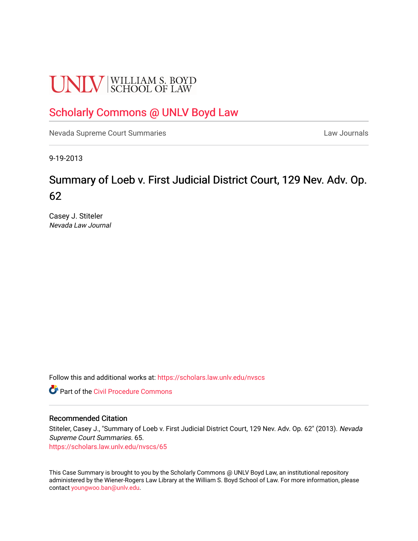# **UNLV** SCHOOL OF LAW

# [Scholarly Commons @ UNLV Boyd Law](https://scholars.law.unlv.edu/)

[Nevada Supreme Court Summaries](https://scholars.law.unlv.edu/nvscs) **Law Journals** Law Journals

9-19-2013

# Summary of Loeb v. First Judicial District Court, 129 Nev. Adv. Op. 62

Casey J. Stiteler Nevada Law Journal

Follow this and additional works at: [https://scholars.law.unlv.edu/nvscs](https://scholars.law.unlv.edu/nvscs?utm_source=scholars.law.unlv.edu%2Fnvscs%2F65&utm_medium=PDF&utm_campaign=PDFCoverPages)

**C** Part of the Civil Procedure Commons

#### Recommended Citation

Stiteler, Casey J., "Summary of Loeb v. First Judicial District Court, 129 Nev. Adv. Op. 62" (2013). Nevada Supreme Court Summaries. 65. [https://scholars.law.unlv.edu/nvscs/65](https://scholars.law.unlv.edu/nvscs/65?utm_source=scholars.law.unlv.edu%2Fnvscs%2F65&utm_medium=PDF&utm_campaign=PDFCoverPages) 

This Case Summary is brought to you by the Scholarly Commons @ UNLV Boyd Law, an institutional repository administered by the Wiener-Rogers Law Library at the William S. Boyd School of Law. For more information, please contact [youngwoo.ban@unlv.edu](mailto:youngwoo.ban@unlv.edu).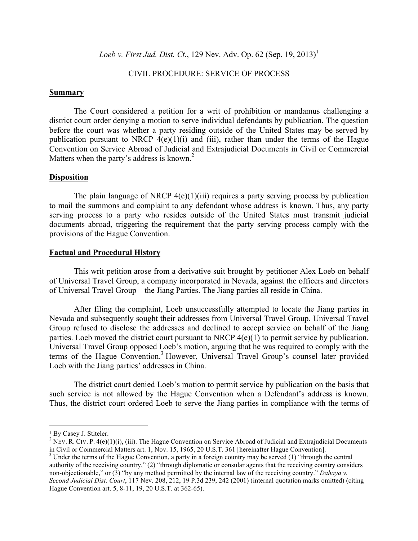*Loeb v. First Jud. Dist. Ct.*, 129 Nev. Adv. Op. 62 (Sep. 19, 2013)<sup>1</sup>

# CIVIL PROCEDURE: SERVICE OF PROCESS

#### **Summary**

The Court considered a petition for a writ of prohibition or mandamus challenging a district court order denying a motion to serve individual defendants by publication. The question before the court was whether a party residing outside of the United States may be served by publication pursuant to NRCP  $4(e)(1)(i)$  and (iii), rather than under the terms of the Hague Convention on Service Abroad of Judicial and Extrajudicial Documents in Civil or Commercial Matters when the party's address is known.<sup>2</sup>

#### **Disposition**

The plain language of NRCP  $4(e)(1)(iii)$  requires a party serving process by publication to mail the summons and complaint to any defendant whose address is known. Thus, any party serving process to a party who resides outside of the United States must transmit judicial documents abroad, triggering the requirement that the party serving process comply with the provisions of the Hague Convention.

#### **Factual and Procedural History**

This writ petition arose from a derivative suit brought by petitioner Alex Loeb on behalf of Universal Travel Group, a company incorporated in Nevada, against the officers and directors of Universal Travel Group—the Jiang Parties. The Jiang parties all reside in China.

After filing the complaint, Loeb unsuccessfully attempted to locate the Jiang parties in Nevada and subsequently sought their addresses from Universal Travel Group. Universal Travel Group refused to disclose the addresses and declined to accept service on behalf of the Jiang parties. Loeb moved the district court pursuant to NRCP 4(e)(1) to permit service by publication. Universal Travel Group opposed Loeb's motion, arguing that he was required to comply with the terms of the Hague Convention.<sup>3</sup> However, Universal Travel Group's counsel later provided Loeb with the Jiang parties' addresses in China.

The district court denied Loeb's motion to permit service by publication on the basis that such service is not allowed by the Hague Convention when a Defendant's address is known. Thus, the district court ordered Loeb to serve the Jiang parties in compliance with the terms of

 

<sup>&</sup>lt;sup>1</sup> By Casey J. Stiteler.<br><sup>2</sup> NEV. R. CIV. P. 4(e)(1)(i), (iii). The Hague Convention on Service Abroad of Judicial and Extrajudicial Documents in Civil or Commercial Matters art. 1, Nov. 15, 1965, 20 U.S.T. 361 [hereinafter Hague Convention].<br><sup>3</sup> Under the terms of the Hague Convention, a party in a foreign country may be served (1) "through the central

authority of the receiving country," (2) "through diplomatic or consular agents that the receiving country considers non-objectionable," or (3) "by any method permitted by the internal law of the receiving country." *Dahaya v. Second Judicial Dist. Court*, 117 Nev. 208, 212, 19 P.3d 239, 242 (2001) (internal quotation marks omitted) (citing Hague Convention art. 5, 8-11, 19, 20 U.S.T. at 362-65).